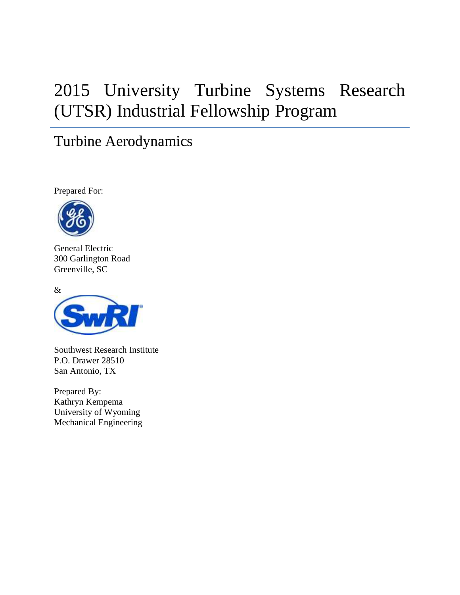# 2015 University Turbine Systems Research (UTSR) Industrial Fellowship Program

# Turbine Aerodynamics

Prepared For:



General Electric 300 Garlington Road Greenville, SC



Southwest Research Institute P.O. Drawer 28510 San Antonio, TX

Prepared By: Kathryn Kempema University of Wyoming Mechanical Engineering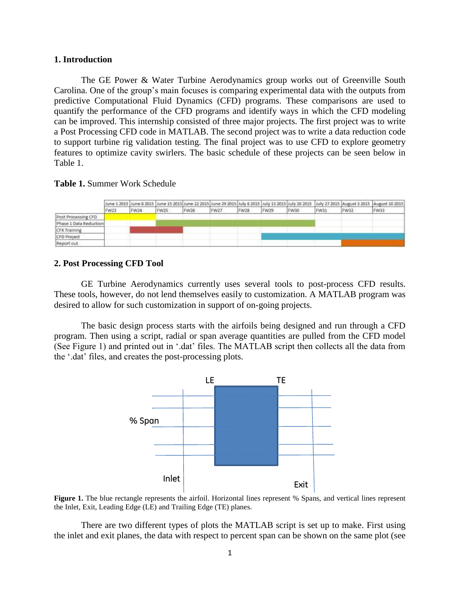#### **1. Introduction**

The GE Power & Water Turbine Aerodynamics group works out of Greenville South Carolina. One of the group's main focuses is comparing experimental data with the outputs from predictive Computational Fluid Dynamics (CFD) programs. These comparisons are used to quantify the performance of the CFD programs and identify ways in which the CFD modeling can be improved. This internship consisted of three major projects. The first project was to write a Post Processing CFD code in MATLAB. The second project was to write a data reduction code to support turbine rig validation testing. The final project was to use CFD to explore geometry features to optimize cavity swirlers. The basic schedule of these projects can be seen below in Table 1.

## **Table 1.** Summer Work Schedule

|                        |      |      |      |      |      |             |      |      |      |      | June 1 2015 June 8 2015 June 15 2015 June 22 2015 June 29 2015 July 6 2015 July 13 2015 July 20 2015 July 27 2015 August 3 2015 July 27 2015 August 3 2015 |
|------------------------|------|------|------|------|------|-------------|------|------|------|------|------------------------------------------------------------------------------------------------------------------------------------------------------------|
|                        | FW23 | FW24 | FW25 | FW26 | FW27 | <b>FW28</b> | FW29 | FW30 | FW31 | FW32 | W33                                                                                                                                                        |
| Post Processing CFD    |      |      |      |      |      |             |      |      |      |      |                                                                                                                                                            |
| Phase 1 Data Reduction |      |      |      |      |      |             |      |      |      |      |                                                                                                                                                            |
| CFX Training           |      |      |      |      |      |             |      |      |      |      |                                                                                                                                                            |
| <b>CFD Project</b>     |      |      |      |      |      |             |      |      |      |      |                                                                                                                                                            |
| Reaort aut             |      |      |      |      |      |             |      |      |      |      |                                                                                                                                                            |

#### **2. Post Processing CFD Tool**

GE Turbine Aerodynamics currently uses several tools to post-process CFD results. These tools, however, do not lend themselves easily to customization. A MATLAB program was desired to allow for such customization in support of on-going projects.

The basic design process starts with the airfoils being designed and run through a CFD program. Then using a script, radial or span average quantities are pulled from the CFD model (See Figure 1) and printed out in '.dat' files. The MATLAB script then collects all the data from the '.dat' files, and creates the post-processing plots.



**Figure 1.** The blue rectangle represents the airfoil. Horizontal lines represent % Spans, and vertical lines represent the Inlet, Exit, Leading Edge (LE) and Trailing Edge (TE) planes.

There are two different types of plots the MATLAB script is set up to make. First using the inlet and exit planes, the data with respect to percent span can be shown on the same plot (see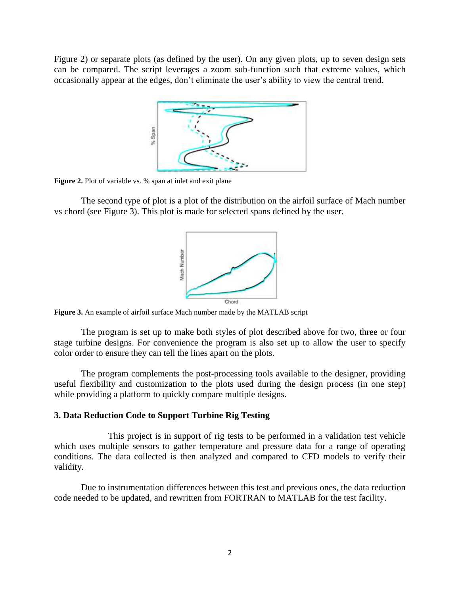Figure 2) or separate plots (as defined by the user). On any given plots, up to seven design sets can be compared. The script leverages a zoom sub-function such that extreme values, which occasionally appear at the edges, don't eliminate the user's ability to view the central trend.



**Figure 2.** Plot of variable vs. % span at inlet and exit plane

The second type of plot is a plot of the distribution on the airfoil surface of Mach number vs chord (see Figure 3). This plot is made for selected spans defined by the user.



**Figure 3.** An example of airfoil surface Mach number made by the MATLAB script

The program is set up to make both styles of plot described above for two, three or four stage turbine designs. For convenience the program is also set up to allow the user to specify color order to ensure they can tell the lines apart on the plots.

The program complements the post-processing tools available to the designer, providing useful flexibility and customization to the plots used during the design process (in one step) while providing a platform to quickly compare multiple designs.

### **3. Data Reduction Code to Support Turbine Rig Testing**

This project is in support of rig tests to be performed in a validation test vehicle which uses multiple sensors to gather temperature and pressure data for a range of operating conditions. The data collected is then analyzed and compared to CFD models to verify their validity.

Due to instrumentation differences between this test and previous ones, the data reduction code needed to be updated, and rewritten from FORTRAN to MATLAB for the test facility.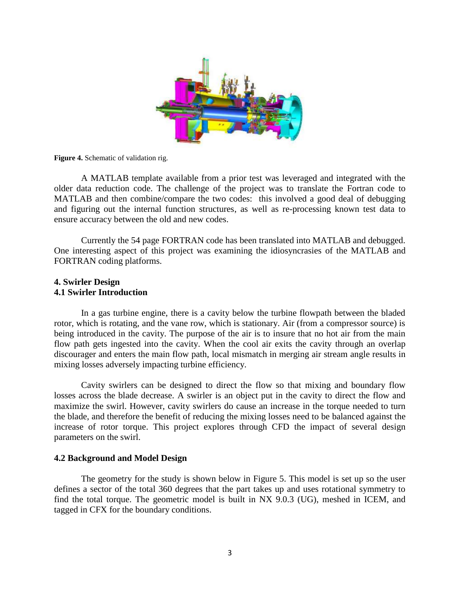

**Figure 4.** Schematic of validation rig.

A MATLAB template available from a prior test was leveraged and integrated with the older data reduction code. The challenge of the project was to translate the Fortran code to MATLAB and then combine/compare the two codes: this involved a good deal of debugging and figuring out the internal function structures, as well as re-processing known test data to ensure accuracy between the old and new codes.

Currently the 54 page FORTRAN code has been translated into MATLAB and debugged. One interesting aspect of this project was examining the idiosyncrasies of the MATLAB and FORTRAN coding platforms.

#### **4. Swirler Design 4.1 Swirler Introduction**

In a gas turbine engine, there is a cavity below the turbine flowpath between the bladed rotor, which is rotating, and the vane row, which is stationary. Air (from a compressor source) is being introduced in the cavity. The purpose of the air is to insure that no hot air from the main flow path gets ingested into the cavity. When the cool air exits the cavity through an overlap discourager and enters the main flow path, local mismatch in merging air stream angle results in mixing losses adversely impacting turbine efficiency.

Cavity swirlers can be designed to direct the flow so that mixing and boundary flow losses across the blade decrease. A swirler is an object put in the cavity to direct the flow and maximize the swirl. However, cavity swirlers do cause an increase in the torque needed to turn the blade, and therefore the benefit of reducing the mixing losses need to be balanced against the increase of rotor torque. This project explores through CFD the impact of several design parameters on the swirl.

#### **4.2 Background and Model Design**

The geometry for the study is shown below in Figure 5. This model is set up so the user defines a sector of the total 360 degrees that the part takes up and uses rotational symmetry to find the total torque. The geometric model is built in NX 9.0.3 (UG), meshed in ICEM, and tagged in CFX for the boundary conditions.